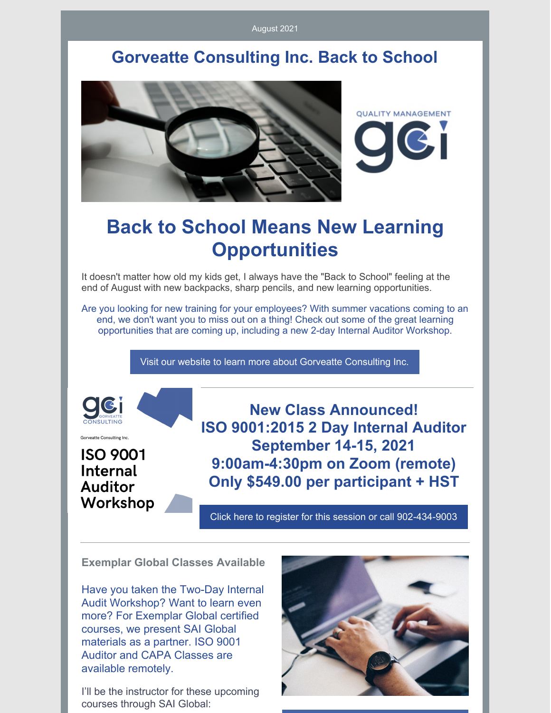August 2021

### **Gorveatte Consulting Inc. Back to School**



# **Back to School Means New Learning Opportunities**

It doesn't matter how old my kids get, I always have the "Back to School" feeling at the end of August with new backpacks, sharp pencils, and new learning opportunities.

Are you looking for new training for your employees? With summer vacations coming to an end, we don't want you to miss out on a thing! Check out some of the great learning opportunities that are coming up, including a new 2-day Internal Auditor Workshop.

Visit our website to learn more about Gorveatte [Consulting](http://www.gorveatteconsulting.com) Inc.



Gorveatte Consulting Inc.

**ISO 9001 Internal Auditor** Workshop

**New Class Announced! ISO 9001:2015 2 Day Internal Auditor September 14-15, 2021 9:00am-4:30pm on Zoom (remote) Only \$549.00 per participant + HST**

Click here to register for this session or call [902-434-9003](https://www.gorveatteconsulting.com/training.html)

**Exemplar Global Classes Available**

Have you taken the Two-Day Internal Audit Workshop? Want to learn even more? For Exemplar Global certified courses, we present SAI Global materials as a partner. ISO 9001 Auditor and CAPA Classes are available remotely.

I'll be the instructor for these upcoming courses through SAI Global:

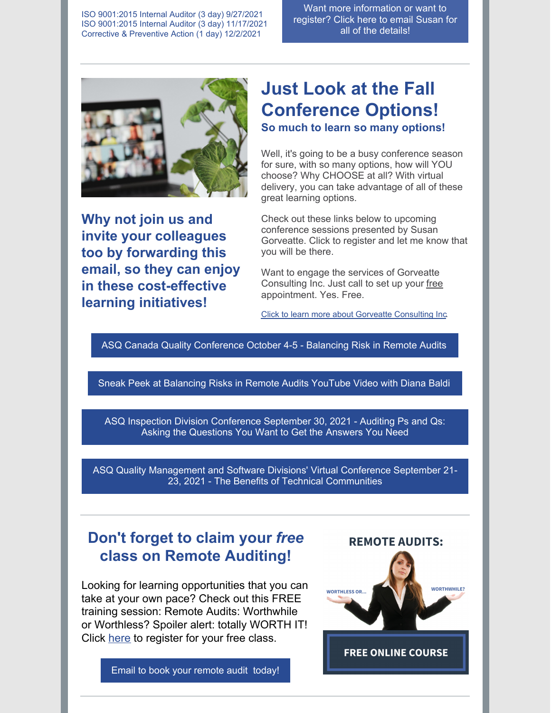ISO 9001:2015 Internal Auditor (3 day) 9/27/2021 ISO 9001:2015 Internal Auditor (3 day) 11/17/2021 Corrective & Preventive Action (1 day) 12/2/2021

Want more [information](mailto:susan@gorveatteconsulting.com) or want to register? Click here to email Susan for all of the details!



**Why not join us and invite your colleagues too by forwarding this email, so they can enjoy in these cost-effective learning initiatives!**

# **Just Look at the Fall Conference Options!**

**So much to learn so many options!**

Well, it's going to be a busy conference season for sure, with so many options, how will YOU choose? Why CHOOSE at all? With virtual delivery, you can take advantage of all of these great learning options.

Check out these links below to upcoming conference sessions presented by Susan Gorveatte. Click to register and let me know that you will be there.

Want to engage the services of Gorveatte Consulting Inc. Just call to set up your free appointment. Yes. Free.

Click to learn more about Gorveatte [Consulting](https://www.gorveatteconsulting.com) Inc.

ASQ Canada Quality [Conference](https://en.asqcanadaconference.com/) October 4-5 - Balancing Risk in Remote Audits

Sneak Peek at [Balancing](https://www.youtube.com/watch?v=Olw7hg-UdYs) Risks in Remote Audits YouTube Video with Diana Baldi

ASQ Inspection Division [Conference](https://asq.org/conferences/inspection-division) September 30, 2021 - Auditing Ps and Qs: Asking the Questions You Want to Get the Answers You Need

ASQ Quality [Management](https://events.eply.com/VirtualQMSFD) and Software Divisions' Virtual Conference September 21- 23, 2021 - The Benefits of Technical Communities

#### **Don't forget to claim your** *free* **class on Remote Auditing!**

Looking for learning opportunities that you can take at your own pace? Check out this FREE training session: Remote Audits: Worthwhile or Worthless? Spoiler alert: totally WORTH IT! Click [here](https://www.innovationtrainer.com/a/45725/eSzfFR6p) to register for your free class.

Email to book your [remote](https://www.gorveatteconsulting.com/contact.html) audit today!



**FREE ONLINE COURSE**